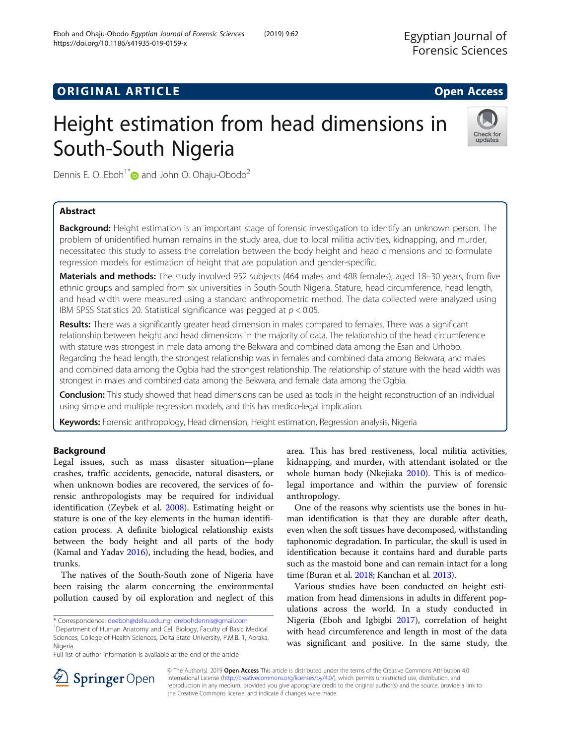# **ORIGINAL ARTICLE CONSERVANCE IN A LOCAL CONSERVANCE IN A LOCAL CONSERVANCE IN A LOCAL CONSERVANCE IN A LOCAL CONS**

# Height estimation from head dimensions in South-South Nigeria



Dennis E. O. Eboh<sup>1\*</sup> and John O. Ohaju-Obodo<sup>2</sup>

# Abstract

Background: Height estimation is an important stage of forensic investigation to identify an unknown person. The problem of unidentified human remains in the study area, due to local militia activities, kidnapping, and murder, necessitated this study to assess the correlation between the body height and head dimensions and to formulate regression models for estimation of height that are population and gender-specific.

Materials and methods: The study involved 952 subjects (464 males and 488 females), aged 18-30 years, from five ethnic groups and sampled from six universities in South-South Nigeria. Stature, head circumference, head length, and head width were measured using a standard anthropometric method. The data collected were analyzed using IBM SPSS Statistics 20. Statistical significance was pegged at  $p < 0.05$ .

Results: There was a significantly greater head dimension in males compared to females. There was a significant relationship between height and head dimensions in the majority of data. The relationship of the head circumference with stature was strongest in male data among the Bekwara and combined data among the Esan and Urhobo. Regarding the head length, the strongest relationship was in females and combined data among Bekwara, and males and combined data among the Ogbia had the strongest relationship. The relationship of stature with the head width was strongest in males and combined data among the Bekwara, and female data among the Ogbia.

Conclusion: This study showed that head dimensions can be used as tools in the height reconstruction of an individual using simple and multiple regression models, and this has medico-legal implication.

Keywords: Forensic anthropology, Head dimension, Height estimation, Regression analysis, Nigeria

## Background

Legal issues, such as mass disaster situation—plane crashes, traffic accidents, genocide, natural disasters, or when unknown bodies are recovered, the services of forensic anthropologists may be required for individual identification (Zeybek et al. [2008](#page-7-0)). Estimating height or stature is one of the key elements in the human identification process. A definite biological relationship exists between the body height and all parts of the body (Kamal and Yadav [2016](#page-7-0)), including the head, bodies, and trunks.

The natives of the South-South zone of Nigeria have been raising the alarm concerning the environmental pollution caused by oil exploration and neglect of this

<sup>1</sup>Department of Human Anatomy and Cell Biology, Faculty of Basic Medical Sciences, College of Health Sciences, Delta State University, P.M.B. 1, Abraka, Nigeria

Full list of author information is available at the end of the article

area. This has bred restiveness, local militia activities, kidnapping, and murder, with attendant isolated or the whole human body (Nkejiaka [2010\)](#page-7-0). This is of medicolegal importance and within the purview of forensic anthropology.

One of the reasons why scientists use the bones in human identification is that they are durable after death, even when the soft tissues have decomposed, withstanding taphonomic degradation. In particular, the skull is used in identification because it contains hard and durable parts such as the mastoid bone and can remain intact for a long time (Buran et al. [2018;](#page-7-0) Kanchan et al. [2013](#page-7-0)).

Various studies have been conducted on height estimation from head dimensions in adults in different populations across the world. In a study conducted in Nigeria (Eboh and Igbigbi [2017\)](#page-7-0), correlation of height with head circumference and length in most of the data was significant and positive. In the same study, the



© The Author(s). 2019 Open Access This article is distributed under the terms of the Creative Commons Attribution 4.0 International License ([http://creativecommons.org/licenses/by/4.0/\)](http://creativecommons.org/licenses/by/4.0/), which permits unrestricted use, distribution, and reproduction in any medium, provided you give appropriate credit to the original author(s) and the source, provide a link to the Creative Commons license, and indicate if changes were made.

<sup>\*</sup> Correspondence: [deeboh@delsu.edu.ng](mailto:deeboh@delsu.edu.ng); [drebohdennis@gmail.com](mailto:drebohdennis@gmail.com) <sup>1</sup>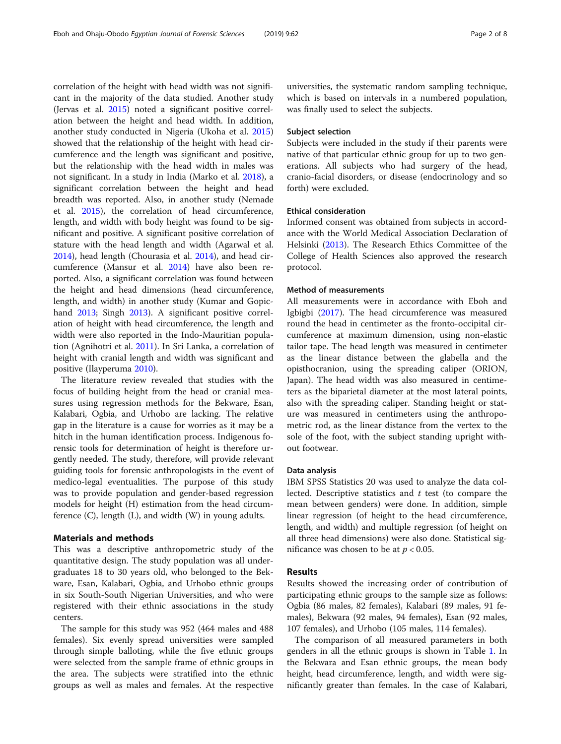correlation of the height with head width was not significant in the majority of the data studied. Another study (Jervas et al. [2015\)](#page-7-0) noted a significant positive correlation between the height and head width. In addition, another study conducted in Nigeria (Ukoha et al. [2015](#page-7-0)) showed that the relationship of the height with head circumference and the length was significant and positive, but the relationship with the head width in males was not significant. In a study in India (Marko et al. [2018\)](#page-7-0), a significant correlation between the height and head breadth was reported. Also, in another study (Nemade et al. [2015\)](#page-7-0), the correlation of head circumference, length, and width with body height was found to be significant and positive. A significant positive correlation of stature with the head length and width (Agarwal et al. [2014](#page-7-0)), head length (Chourasia et al. [2014\)](#page-7-0), and head circumference (Mansur et al. [2014\)](#page-7-0) have also been reported. Also, a significant correlation was found between the height and head dimensions (head circumference, length, and width) in another study (Kumar and Gopic-hand [2013;](#page-7-0) Singh [2013](#page-7-0)). A significant positive correlation of height with head circumference, the length and width were also reported in the Indo-Mauritian population (Agnihotri et al. [2011\)](#page-7-0). In Sri Lanka, a correlation of height with cranial length and width was significant and positive (Ilayperuma [2010](#page-7-0)).

The literature review revealed that studies with the focus of building height from the head or cranial measures using regression methods for the Bekware, Esan, Kalabari, Ogbia, and Urhobo are lacking. The relative gap in the literature is a cause for worries as it may be a hitch in the human identification process. Indigenous forensic tools for determination of height is therefore urgently needed. The study, therefore, will provide relevant guiding tools for forensic anthropologists in the event of medico-legal eventualities. The purpose of this study was to provide population and gender-based regression models for height (H) estimation from the head circumference  $(C)$ , length  $(L)$ , and width  $(W)$  in young adults.

#### Materials and methods

This was a descriptive anthropometric study of the quantitative design. The study population was all undergraduates 18 to 30 years old, who belonged to the Bekware, Esan, Kalabari, Ogbia, and Urhobo ethnic groups in six South-South Nigerian Universities, and who were registered with their ethnic associations in the study centers.

The sample for this study was 952 (464 males and 488 females). Six evenly spread universities were sampled through simple balloting, while the five ethnic groups were selected from the sample frame of ethnic groups in the area. The subjects were stratified into the ethnic groups as well as males and females. At the respective

universities, the systematic random sampling technique, which is based on intervals in a numbered population, was finally used to select the subjects.

### Subject selection

Subjects were included in the study if their parents were native of that particular ethnic group for up to two generations. All subjects who had surgery of the head, cranio-facial disorders, or disease (endocrinology and so forth) were excluded.

#### Ethical consideration

Informed consent was obtained from subjects in accordance with the World Medical Association Declaration of Helsinki ([2013](#page-7-0)). The Research Ethics Committee of the College of Health Sciences also approved the research protocol.

#### Method of measurements

All measurements were in accordance with Eboh and Igbigbi ([2017\)](#page-7-0). The head circumference was measured round the head in centimeter as the fronto-occipital circumference at maximum dimension, using non-elastic tailor tape. The head length was measured in centimeter as the linear distance between the glabella and the opisthocranion, using the spreading caliper (ORION, Japan). The head width was also measured in centimeters as the biparietal diameter at the most lateral points, also with the spreading caliper. Standing height or stature was measured in centimeters using the anthropometric rod, as the linear distance from the vertex to the sole of the foot, with the subject standing upright without footwear.

#### Data analysis

IBM SPSS Statistics 20 was used to analyze the data collected. Descriptive statistics and  $t$  test (to compare the mean between genders) were done. In addition, simple linear regression (of height to the head circumference, length, and width) and multiple regression (of height on all three head dimensions) were also done. Statistical significance was chosen to be at  $p < 0.05$ .

#### Results

Results showed the increasing order of contribution of participating ethnic groups to the sample size as follows: Ogbia (86 males, 82 females), Kalabari (89 males, 91 females), Bekwara (92 males, 94 females), Esan (92 males, 107 females), and Urhobo (105 males, 114 females).

The comparison of all measured parameters in both genders in all the ethnic groups is shown in Table [1](#page-2-0). In the Bekwara and Esan ethnic groups, the mean body height, head circumference, length, and width were significantly greater than females. In the case of Kalabari,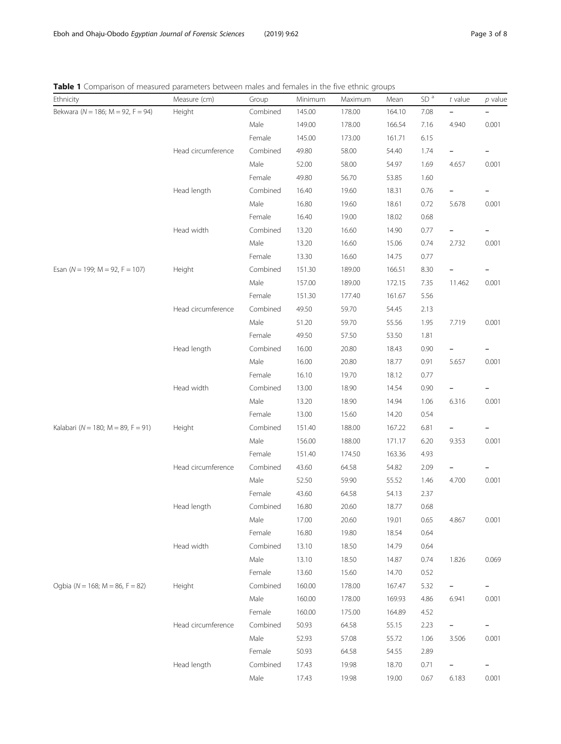| Ethnicity                                 | Measure (cm)       | Group    | Minimum | Maximum | Mean   | SD <sup>a</sup> | $t$ value                | $p$ value |
|-------------------------------------------|--------------------|----------|---------|---------|--------|-----------------|--------------------------|-----------|
| Bekwara ( $N = 186$ ; M = 92, F = 94)     | Height             | Combined | 145.00  | 178.00  | 164.10 | 7.08            |                          |           |
|                                           |                    | Male     | 149.00  | 178.00  | 166.54 | 7.16            | 4.940                    | 0.001     |
|                                           |                    | Female   | 145.00  | 173.00  | 161.71 | 6.15            |                          |           |
|                                           | Head circumference | Combined | 49.80   | 58.00   | 54.40  | 1.74            |                          |           |
|                                           |                    | Male     | 52.00   | 58.00   | 54.97  | 1.69            | 4.657                    | 0.001     |
|                                           |                    | Female   | 49.80   | 56.70   | 53.85  | 1.60            |                          |           |
|                                           | Head length        | Combined | 16.40   | 19.60   | 18.31  | 0.76            |                          |           |
|                                           |                    | Male     | 16.80   | 19.60   | 18.61  | 0.72            | 5.678                    | 0.001     |
|                                           |                    | Female   | 16.40   | 19.00   | 18.02  | 0.68            |                          |           |
|                                           | Head width         | Combined | 13.20   | 16.60   | 14.90  | 0.77            |                          |           |
|                                           |                    | Male     | 13.20   | 16.60   | 15.06  | 0.74            | 2.732                    | 0.001     |
|                                           |                    | Female   | 13.30   | 16.60   | 14.75  | 0.77            |                          |           |
| Esan ( $N = 199$ ; $M = 92$ , $F = 107$ ) | Height             | Combined | 151.30  | 189.00  | 166.51 | 8.30            |                          |           |
|                                           |                    | Male     | 157.00  | 189.00  | 172.15 | 7.35            | 11.462                   | 0.001     |
|                                           |                    | Female   | 151.30  | 177.40  | 161.67 | 5.56            |                          |           |
|                                           | Head circumference | Combined | 49.50   | 59.70   | 54.45  | 2.13            |                          |           |
|                                           |                    | Male     | 51.20   | 59.70   | 55.56  | 1.95            | 7.719                    | 0.001     |
|                                           |                    | Female   | 49.50   | 57.50   | 53.50  | 1.81            |                          |           |
|                                           | Head length        | Combined | 16.00   | 20.80   | 18.43  | 0.90            | $\qquad \qquad -$        |           |
|                                           |                    | Male     | 16.00   | 20.80   | 18.77  | 0.91            | 5.657                    | 0.001     |
|                                           |                    | Female   | 16.10   | 19.70   | 18.12  | 0.77            |                          |           |
|                                           | Head width         | Combined | 13.00   | 18.90   | 14.54  | 0.90            |                          |           |
|                                           |                    | Male     | 13.20   | 18.90   | 14.94  | 1.06            | 6.316                    | 0.001     |
|                                           |                    | Female   | 13.00   | 15.60   | 14.20  | 0.54            |                          |           |
| Kalabari ( $N = 180$ ; M = 89, F = 91)    | Height             | Combined | 151.40  | 188.00  | 167.22 | 6.81            |                          |           |
|                                           |                    | Male     | 156.00  | 188.00  | 171.17 | 6.20            | 9.353                    | 0.001     |
|                                           |                    | Female   | 151.40  | 174.50  | 163.36 | 4.93            |                          |           |
|                                           | Head circumference | Combined | 43.60   | 64.58   | 54.82  | 2.09            |                          |           |
|                                           |                    | Male     | 52.50   | 59.90   | 55.52  | 1.46            | 4.700                    | 0.001     |
|                                           |                    | Female   | 43.60   | 64.58   | 54.13  | 2.37            |                          |           |
|                                           | Head length        | Combined | 16.80   | 20.60   | 18.77  | 0.68            |                          |           |
|                                           |                    | Male     | 17.00   | 20.60   | 19.01  | 0.65            | 4.867                    | 0.001     |
|                                           |                    | Female   | 16.80   | 19.80   | 18.54  | 0.64            |                          |           |
|                                           | Head width         | Combined | 13.10   | 18.50   | 14.79  | 0.64            |                          |           |
|                                           |                    | Male     | 13.10   | 18.50   | 14.87  | 0.74            | 1.826                    | 0.069     |
|                                           |                    | Female   | 13.60   | 15.60   | 14.70  | 0.52            |                          |           |
| Ogbia ( $N = 168$ ; $M = 86$ , $F = 82$ ) | Height             | Combined | 160.00  | 178.00  | 167.47 | 5.32            | $\overline{\phantom{0}}$ |           |
|                                           |                    | Male     | 160.00  | 178.00  | 169.93 | 4.86            | 6.941                    | 0.001     |
|                                           |                    | Female   | 160.00  | 175.00  | 164.89 | 4.52            |                          |           |
|                                           | Head circumference | Combined | 50.93   | 64.58   | 55.15  | 2.23            | $\overline{\phantom{0}}$ |           |
|                                           |                    | Male     | 52.93   | 57.08   | 55.72  | 1.06            | 3.506                    | 0.001     |
|                                           |                    | Female   | 50.93   | 64.58   | 54.55  | 2.89            |                          |           |
|                                           | Head length        | Combined | 17.43   | 19.98   | 18.70  | 0.71            | $\qquad \qquad -$        |           |
|                                           |                    | Male     | 17.43   | 19.98   | 19.00  | 0.67            | 6.183                    | 0.001     |

<span id="page-2-0"></span>Table 1 Comparison of measured parameters between males and females in the five ethnic groups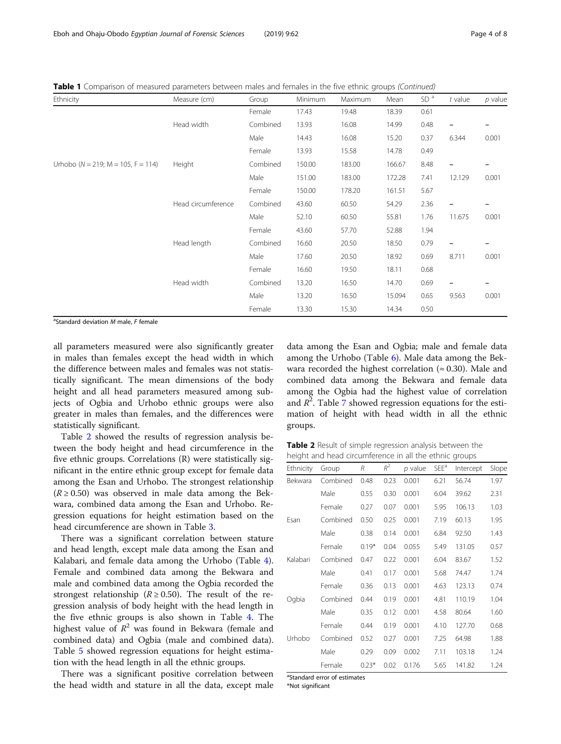Table 1 Comparison of measured parameters between males and females in the five ethnic groups (Continued)

| <b>Ethnicity</b>                             | Measure (cm)       | Group    | Minimum | Maximum | Mean   | SD <sup>a</sup> | $t$ value                | $p$ value                |
|----------------------------------------------|--------------------|----------|---------|---------|--------|-----------------|--------------------------|--------------------------|
|                                              |                    | Female   | 17.43   | 19.48   | 18.39  | 0.61            |                          |                          |
|                                              | Head width         | Combined | 13.93   | 16.08   | 14.99  | 0.48            | $\overline{\phantom{a}}$ | $\qquad \qquad -$        |
|                                              |                    | Male     | 14.43   | 16.08   | 15.20  | 0.37            | 6.344                    | 0.001                    |
|                                              |                    | Female   | 13.93   | 15.58   | 14.78  | 0.49            |                          |                          |
| Urhobo ( $N = 219$ ; $M = 105$ , $F = 114$ ) | Height             | Combined | 150.00  | 183.00  | 166.67 | 8.48            |                          |                          |
|                                              |                    | Male     | 151.00  | 183.00  | 172.28 | 7.41            | 12.129                   | 0.001                    |
|                                              |                    | Female   | 150.00  | 178.20  | 161.51 | 5.67            |                          |                          |
|                                              | Head circumference | Combined | 43.60   | 60.50   | 54.29  | 2.36            | $\qquad \qquad -$        | -                        |
|                                              |                    | Male     | 52.10   | 60.50   | 55.81  | 1.76            | 11.675                   | 0.001                    |
|                                              |                    | Female   | 43.60   | 57.70   | 52.88  | 1.94            |                          |                          |
|                                              | Head length        | Combined | 16.60   | 20.50   | 18.50  | 0.79            | $\overline{\phantom{a}}$ | $\qquad \qquad -$        |
|                                              |                    | Male     | 17.60   | 20.50   | 18.92  | 0.69            | 8.711                    | 0.001                    |
|                                              |                    | Female   | 16.60   | 19.50   | 18.11  | 0.68            |                          |                          |
|                                              | Head width         | Combined | 13.20   | 16.50   | 14.70  | 0.69            | $\overline{\phantom{m}}$ | $\overline{\phantom{0}}$ |
|                                              |                    | Male     | 13.20   | 16.50   | 15.094 | 0.65            | 9.563                    | 0.001                    |
|                                              |                    | Female   | 13.30   | 15.30   | 14.34  | 0.50            |                          |                          |

<sup>a</sup>Standard deviation M male, F female

all parameters measured were also significantly greater in males than females except the head width in which the difference between males and females was not statistically significant. The mean dimensions of the body height and all head parameters measured among subjects of Ogbia and Urhobo ethnic groups were also greater in males than females, and the differences were statistically significant.

Table 2 showed the results of regression analysis between the body height and head circumference in the five ethnic groups. Correlations (R) were statistically significant in the entire ethnic group except for female data among the Esan and Urhobo. The strongest relationship  $(R \ge 0.50)$  was observed in male data among the Bekwara, combined data among the Esan and Urhobo. Regression equations for height estimation based on the head circumference are shown in Table [3.](#page-4-0)

There was a significant correlation between stature and head length, except male data among the Esan and Kalabari, and female data among the Urhobo (Table [4](#page-4-0)). Female and combined data among the Bekwara and male and combined data among the Ogbia recorded the strongest relationship ( $R \ge 0.50$ ). The result of the regression analysis of body height with the head length in the five ethnic groups is also shown in Table [4](#page-4-0). The highest value of  $R^2$  was found in Bekwara (female and combined data) and Ogbia (male and combined data). Table [5](#page-4-0) showed regression equations for height estimation with the head length in all the ethnic groups.

There was a significant positive correlation between the head width and stature in all the data, except male data among the Esan and Ogbia; male and female data among the Urhobo (Table [6\)](#page-4-0). Male data among the Bekwara recorded the highest correlation ( $\approx 0.30$ ). Male and combined data among the Bekwara and female data among the Ogbia had the highest value of correlation and  $R^2$ . Table [7](#page-5-0) showed regression equations for the estimation of height with head width in all the ethnic groups.

Table 2 Result of simple regression analysis between the height and head circumference in all the ethnic groups

| Ethnicity | Group    | R       | $R^2$ | $p$ value | SEE <sup>a</sup> | Intercept | Slope |
|-----------|----------|---------|-------|-----------|------------------|-----------|-------|
| Bekwara   | Combined | 0.48    | 0.23  | 0.001     | 6.21             | 56.74     | 1.97  |
|           | Male     | 0.55    | 0.30  | 0.001     | 6.04             | 39.62     | 2.31  |
|           | Female   | 0.27    | 0.07  | 0.001     | 5.95             | 106.13    | 1.03  |
| Esan      | Combined | 0.50    | 0.25  | 0.001     | 7.19             | 60.13     | 1.95  |
|           | Male     | 0.38    | 0.14  | 0.001     | 6.84             | 92.50     | 1.43  |
|           | Female   | $0.19*$ | 0.04  | 0.055     | 5.49             | 131.05    | 0.57  |
| Kalabari  | Combined | 0.47    | 0.22  | 0.001     | 6.04             | 83.67     | 1.52  |
|           | Male     | 0.41    | 0.17  | 0.001     | 5.68             | 74.47     | 1.74  |
|           | Female   | 0.36    | 0.13  | 0.001     | 4.63             | 123.13    | 0.74  |
| Ogbia     | Combined | 0.44    | 0.19  | 0.001     | 4.81             | 110.19    | 1.04  |
|           | Male     | 0.35    | 0.12  | 0.001     | 4.58             | 80.64     | 1.60  |
|           | Female   | 0.44    | 0.19  | 0.001     | 4.10             | 127.70    | 0.68  |
| Urhobo    | Combined | 0.52    | 0.27  | 0.001     | 7.25             | 64.98     | 1.88  |
|           | Male     | 0.29    | 0.09  | 0.002     | 7.11             | 103.18    | 1.24  |
|           | Female   | $0.23*$ | 0.02  | 0.176     | 5.65             | 141.82    | 1.24  |

<sup>a</sup>Standard error of estimates

\*Not significant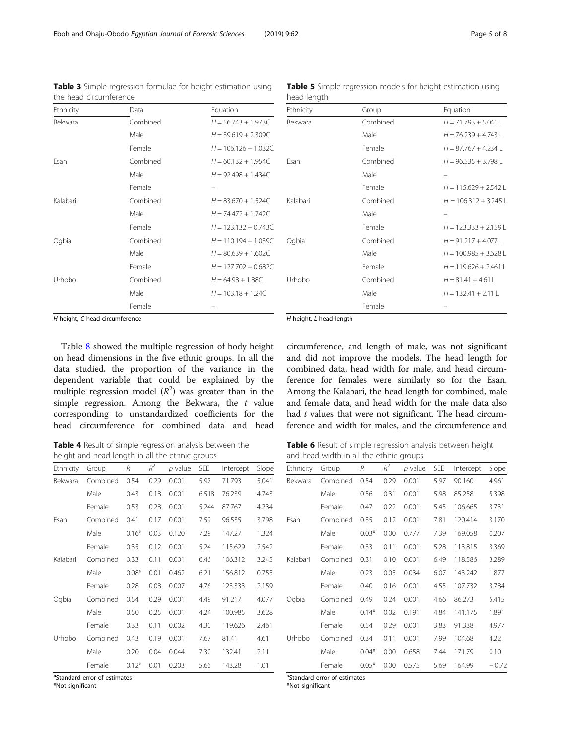<span id="page-4-0"></span>Eboh and Ohaju-Obodo Egyptian Journal of Forensic Sciences (2019) 9:62 Page 5 of 8

| Ethnicity      | Data     | Equation               |
|----------------|----------|------------------------|
| <b>Bekwara</b> | Combined | $H = 56.743 + 1.973C$  |
|                | Male     | $H = 39.619 + 2.309C$  |
|                | Female   | $H = 106.126 + 1.032C$ |
| Fsan           | Combined | $H = 60.132 + 1.954C$  |
|                | Male     | $H = 92.498 + 1.434C$  |
|                | Female   |                        |
| Kalabari       | Combined | $H = 83.670 + 1.524C$  |
|                | Male     | $H = 74.472 + 1.742C$  |
|                | Female   | $H = 123.132 + 0.743C$ |
| Oqbia          | Combined | $H = 110.194 + 1.039C$ |
|                | Male     | $H = 80.639 + 1.602C$  |
|                | Female   | $H = 127.702 + 0.682C$ |
| Urhobo         | Combined | $H = 64.98 + 1.88C$    |
|                | Male     | $H = 103.18 + 1.24C$   |
|                | Female   |                        |

Table 5 Simple regression models for height estimation using head length

| Combined | $H = 71.793 + 5.041 L$  |
|----------|-------------------------|
| Male     | $H = 76.239 + 4.743 L$  |
| Female   | $H = 87.767 + 4.234 L$  |
| Combined | $H = 96.535 + 3.798 L$  |
| Male     |                         |
| Female   | $H = 115.629 + 2.542$ L |
| Combined | $H = 106.312 + 3.245$ L |
| Male     |                         |
| Female   | $H = 123.333 + 2.159$ L |
| Combined | $H = 91.217 + 4.077 L$  |
| Male     | $H = 100.985 + 3.628$ L |
| Female   | $H = 119.626 + 2.461$ L |
| Combined | $H = 81.41 + 4.61 L$    |
| Male     | $H = 132.41 + 2.11 L$   |
| Female   |                         |
|          | H height, L head length |

Table 3 Simple regression formulae for height estimation using the head circumference

H height, C head circumference

Table [8](#page-5-0) showed the multiple regression of body height on head dimensions in the five ethnic groups. In all the data studied, the proportion of the variance in the dependent variable that could be explained by the multiple regression model  $(R^2)$  was greater than in the simple regression. Among the Bekwara, the  $t$  value corresponding to unstandardized coefficients for the head circumference for combined data and head

Table 4 Result of simple regression analysis between the height and head length in all the ethnic groups

| Ethnicity | Group    | R       | $R^2$ | $p$ value | SEE   | Intercept | Slope |
|-----------|----------|---------|-------|-----------|-------|-----------|-------|
| Bekwara   | Combined | 0.54    | 0.29  | 0.001     | 5.97  | 71.793    | 5.041 |
|           | Male     | 0.43    | 0.18  | 0.001     | 6.518 | 76.239    | 4.743 |
|           | Female   | 0.53    | 0.28  | 0.001     | 5.244 | 87.767    | 4.234 |
| Esan      | Combined | 0.41    | 0.17  | 0.001     | 7.59  | 96.535    | 3.798 |
|           | Male     | $0.16*$ | 0.03  | 0.120     | 7.29  | 147.27    | 1.324 |
|           | Female   | 0.35    | 0.12  | 0.001     | 5.24  | 115.629   | 2.542 |
| Kalabari  | Combined | 0.33    | 0.11  | 0.001     | 6.46  | 106.312   | 3.245 |
|           | Male     | $0.08*$ | 0.01  | 0.462     | 6.21  | 156.812   | 0.755 |
|           | Female   | 0.28    | 0.08  | 0.007     | 4.76  | 123.333   | 2.159 |
| Ogbia     | Combined | 0.54    | 0.29  | 0.001     | 4.49  | 91.217    | 4.077 |
|           | Male     | 0.50    | 0.25  | 0.001     | 4.24  | 100.985   | 3.628 |
|           | Female   | 0.33    | 0.11  | 0.002     | 4.30  | 119.626   | 2.461 |
| Urhobo    | Combined | 0.43    | 0.19  | 0.001     | 7.67  | 81.41     | 4.61  |
|           | Male     | 0.20    | 0.04  | 0.044     | 7.30  | 132.41    | 2.11  |
|           | Female   | $0.12*$ | 0.01  | 0.203     | 5.66  | 143.28    | 1.01  |

a<br>Standard error of estimates

\*Not significant

ference and width for males, and the circumference and

circumference, and length of male, was not significant and did not improve the models. The head length for combined data, head width for male, and head circumference for females were similarly so for the Esan. Among the Kalabari, the head length for combined, male and female data, and head width for the male data also had t values that were not significant. The head circum-

Table 6 Result of simple regression analysis between height and head width in all the ethnic groups

| Ethnicity | Group    | R       | $R^2$ | p value | <b>SEE</b> | Intercept | Slope   |
|-----------|----------|---------|-------|---------|------------|-----------|---------|
| Bekwara   | Combined | 0.54    | 0.29  | 0.001   | 5.97       | 90.160    | 4.961   |
|           | Male     | 0.56    | 0.31  | 0.001   | 5.98       | 85.258    | 5.398   |
|           | Female   | 0.47    | 0.22  | 0.001   | 5.45       | 106.665   | 3.731   |
| Esan      | Combined | 0.35    | 0.12  | 0.001   | 7.81       | 120.414   | 3.170   |
|           | Male     | $0.03*$ | 0.00  | 0.777   | 7.39       | 169.058   | 0.207   |
|           | Female   | 0.33    | 0.11  | 0.001   | 5.28       | 113.815   | 3.369   |
| Kalabari  | Combined | 0.31    | 0.10  | 0.001   | 6.49       | 118.586   | 3.289   |
|           | Male     | 0.23    | 0.05  | 0.034   | 6.07       | 143.242   | 1.877   |
|           | Female   | 0.40    | 0.16  | 0.001   | 4.55       | 107.732   | 3.784   |
| Ogbia     | Combined | 0.49    | 0.24  | 0.001   | 4.66       | 86.273    | 5.415   |
|           | Male     | $0.14*$ | 0.02  | 0.191   | 4.84       | 141.175   | 1.891   |
|           | Female   | 0.54    | 0.29  | 0.001   | 3.83       | 91.338    | 4.977   |
| Urhobo    | Combined | 0.34    | 0.11  | 0.001   | 7.99       | 104.68    | 4.22    |
|           | Male     | $0.04*$ | 0.00  | 0.658   | 7.44       | 171.79    | 0.10    |
|           | Female   | $0.05*$ | 0.00  | 0.575   | 5.69       | 164.99    | $-0.72$ |

<sup>a</sup>Standard error of estimates

\*Not significant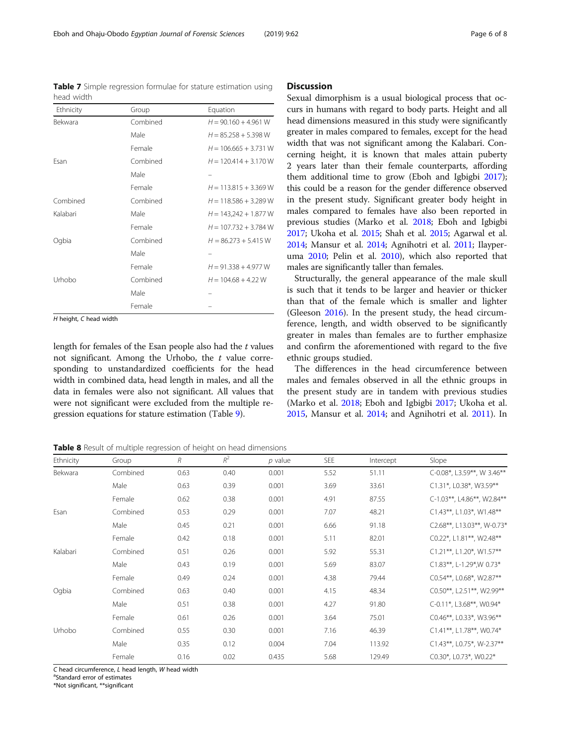<span id="page-5-0"></span>Table 7 Simple regression formulae for stature estimation using head width

| Ethnicity | Group    | Equation                |
|-----------|----------|-------------------------|
| Bekwara   | Combined | $H = 90.160 + 4.961 W$  |
|           | Male     | $H = 85.258 + 5.398$ W  |
|           | Female   | $H = 106.665 + 3.731 W$ |
| Fsan      | Combined | $H = 120.414 + 3.170 W$ |
|           | Male     |                         |
|           | Female   | $H = 113.815 + 3.369$ W |
| Combined  | Combined | $H = 118.586 + 3.289 W$ |
| Kalabari  | Male     | $H = 143,242 + 1.877 W$ |
|           | Female   | $H = 107.732 + 3.784$ W |
| Ogbia     | Combined | $H = 86.273 + 5.415 W$  |
|           | Male     |                         |
|           | Female   | $H = 91.338 + 4.977 W$  |
| Urhobo    | Combined | $H = 104.68 + 4.22$ W   |
|           | Male     |                         |
|           | Female   |                         |

H height, C head width

length for females of the Esan people also had the  $t$  values not significant. Among the Urhobo, the  $t$  value corresponding to unstandardized coefficients for the head width in combined data, head length in males, and all the data in females were also not significant. All values that were not significant were excluded from the multiple regression equations for stature estimation (Table [9\)](#page-6-0).

**Discussion** 

Sexual dimorphism is a usual biological process that occurs in humans with regard to body parts. Height and all head dimensions measured in this study were significantly greater in males compared to females, except for the head width that was not significant among the Kalabari. Concerning height, it is known that males attain puberty 2 years later than their female counterparts, affording them additional time to grow (Eboh and Igbigbi [2017](#page-7-0)); this could be a reason for the gender difference observed in the present study. Significant greater body height in males compared to females have also been reported in previous studies (Marko et al. [2018;](#page-7-0) Eboh and Igbigbi [2017;](#page-7-0) Ukoha et al. [2015](#page-7-0); Shah et al. [2015;](#page-7-0) Agarwal et al. [2014;](#page-7-0) Mansur et al. [2014](#page-7-0); Agnihotri et al. [2011;](#page-7-0) Ilayperuma [2010;](#page-7-0) Pelin et al. [2010](#page-7-0)), which also reported that males are significantly taller than females.

Structurally, the general appearance of the male skull is such that it tends to be larger and heavier or thicker than that of the female which is smaller and lighter (Gleeson [2016\)](#page-7-0). In the present study, the head circumference, length, and width observed to be significantly greater in males than females are to further emphasize and confirm the aforementioned with regard to the five ethnic groups studied.

The differences in the head circumference between males and females observed in all the ethnic groups in the present study are in tandem with previous studies (Marko et al. [2018](#page-7-0); Eboh and Igbigbi [2017](#page-7-0); Ukoha et al. [2015](#page-7-0), Mansur et al. [2014](#page-7-0); and Agnihotri et al. [2011\)](#page-7-0). In

Table 8 Result of multiple regression of height on head dimensions

| Ethnicity | Group    | $\mathcal{R}$ | $R^2$ | $p$ value | <b>SEE</b> | Intercept | Slope                      |
|-----------|----------|---------------|-------|-----------|------------|-----------|----------------------------|
| Bekwara   | Combined | 0.63          | 0.40  | 0.001     | 5.52       | 51.11     | C-0.08*, L3.59**, W 3.46** |
|           | Male     | 0.63          | 0.39  | 0.001     | 3.69       | 33.61     | C1.31*, L0.38*, W3.59**    |
|           | Female   | 0.62          | 0.38  | 0.001     | 4.91       | 87.55     | C-1.03**, L4.86**, W2.84** |
| Esan      | Combined | 0.53          | 0.29  | 0.001     | 7.07       | 48.21     | C1.43**, L1.03*, W1.48**   |
|           | Male     | 0.45          | 0.21  | 0.001     | 6.66       | 91.18     | C2.68**, L13.03**, W-0.73* |
|           | Female   | 0.42          | 0.18  | 0.001     | 5.11       | 82.01     | C0.22*, L1.81**, W2.48**   |
| Kalabari  | Combined | 0.51          | 0.26  | 0.001     | 5.92       | 55.31     | C1.21**, L1.20*, W1.57**   |
|           | Male     | 0.43          | 0.19  | 0.001     | 5.69       | 83.07     | C1.83**, L-1.29*, W 0.73*  |
|           | Female   | 0.49          | 0.24  | 0.001     | 4.38       | 79.44     | C0.54**, L0.68*, W2.87**   |
| Ogbia     | Combined | 0.63          | 0.40  | 0.001     | 4.15       | 48.34     | C0.50**, L2.51**, W2.99**  |
|           | Male     | 0.51          | 0.38  | 0.001     | 4.27       | 91.80     | C-0.11*, L3.68**, W0.94*   |
|           | Female   | 0.61          | 0.26  | 0.001     | 3.64       | 75.01     | C0.46**, L0.33*, W3.96**   |
| Urhobo    | Combined | 0.55          | 0.30  | 0.001     | 7.16       | 46.39     | C1.41**, L1.78**, W0.74*   |
|           | Male     | 0.35          | 0.12  | 0.004     | 7.04       | 113.92    | C1.43**, L0.75*, W-2.37**  |
|           | Female   | 0.16          | 0.02  | 0.435     | 5.68       | 129.49    | C0.30*, L0.73*, W0.22*     |

 $C$  head circumference,  $L$  head length,  $W$  head width

<sup>a</sup>Standard error of estimates

\*Not significant, \*\*significant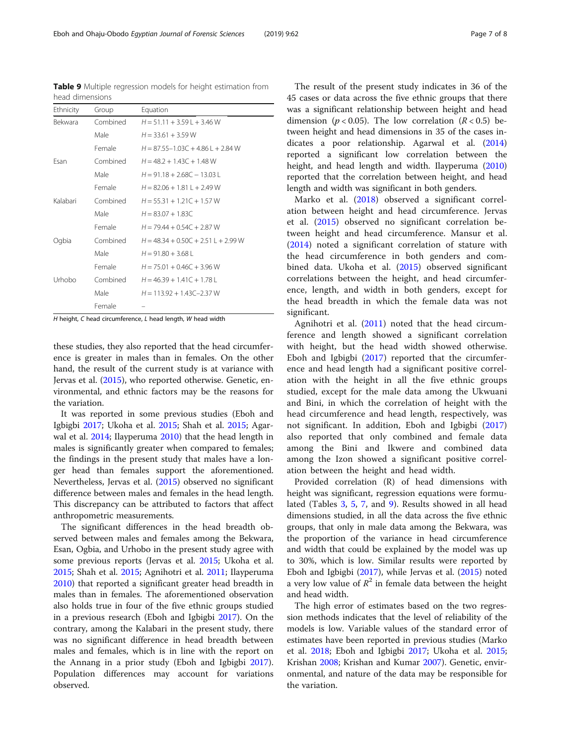H height, C head circumference, L head length, W head width

these studies, they also reported that the head circumference is greater in males than in females. On the other hand, the result of the current study is at variance with Jervas et al. ([2015](#page-7-0)), who reported otherwise. Genetic, environmental, and ethnic factors may be the reasons for the variation.

It was reported in some previous studies (Eboh and Igbigbi [2017](#page-7-0); Ukoha et al. [2015](#page-7-0); Shah et al. [2015](#page-7-0); Agarwal et al. [2014](#page-7-0); Ilayperuma [2010\)](#page-7-0) that the head length in males is significantly greater when compared to females; the findings in the present study that males have a longer head than females support the aforementioned. Nevertheless, Jervas et al. ([2015](#page-7-0)) observed no significant difference between males and females in the head length. This discrepancy can be attributed to factors that affect anthropometric measurements.

The significant differences in the head breadth observed between males and females among the Bekwara, Esan, Ogbia, and Urhobo in the present study agree with some previous reports (Jervas et al. [2015;](#page-7-0) Ukoha et al. [2015](#page-7-0); Shah et al. [2015](#page-7-0); Agnihotri et al. [2011](#page-7-0); Ilayperuma [2010](#page-7-0)) that reported a significant greater head breadth in males than in females. The aforementioned observation also holds true in four of the five ethnic groups studied in a previous research (Eboh and Igbigbi [2017\)](#page-7-0). On the contrary, among the Kalabari in the present study, there was no significant difference in head breadth between males and females, which is in line with the report on the Annang in a prior study (Eboh and Igbigbi [2017](#page-7-0)). Population differences may account for variations observed.

The result of the present study indicates in 36 of the 45 cases or data across the five ethnic groups that there was a significant relationship between height and head dimension ( $p < 0.05$ ). The low correlation ( $R < 0.5$ ) between height and head dimensions in 35 of the cases indicates a poor relationship. Agarwal et al. ([2014](#page-7-0)) reported a significant low correlation between the height, and head length and width. Ilayperuma ([2010](#page-7-0)) reported that the correlation between height, and head length and width was significant in both genders.

Marko et al. ([2018\)](#page-7-0) observed a significant correlation between height and head circumference. Jervas et al. ([2015\)](#page-7-0) observed no significant correlation between height and head circumference. Mansur et al. ([2014\)](#page-7-0) noted a significant correlation of stature with the head circumference in both genders and combined data. Ukoha et al. [\(2015](#page-7-0)) observed significant correlations between the height, and head circumference, length, and width in both genders, except for the head breadth in which the female data was not significant.

Agnihotri et al. ([2011\)](#page-7-0) noted that the head circumference and length showed a significant correlation with height, but the head width showed otherwise. Eboh and Igbigbi  $(2017)$  $(2017)$  reported that the circumference and head length had a significant positive correlation with the height in all the five ethnic groups studied, except for the male data among the Ukwuani and Bini, in which the correlation of height with the head circumference and head length, respectively, was not significant. In addition, Eboh and Igbigbi [\(2017](#page-7-0)) also reported that only combined and female data among the Bini and Ikwere and combined data among the Izon showed a significant positive correlation between the height and head width.

Provided correlation (R) of head dimensions with height was significant, regression equations were formulated (Tables [3,](#page-4-0) [5,](#page-4-0) [7](#page-5-0), and 9). Results showed in all head dimensions studied, in all the data across the five ethnic groups, that only in male data among the Bekwara, was the proportion of the variance in head circumference and width that could be explained by the model was up to 30%, which is low. Similar results were reported by Eboh and Igbigbi [\(2017\)](#page-7-0), while Jervas et al. [\(2015\)](#page-7-0) noted a very low value of  $R^2$  in female data between the height and head width.

The high error of estimates based on the two regression methods indicates that the level of reliability of the models is low. Variable values of the standard error of estimates have been reported in previous studies (Marko et al. [2018;](#page-7-0) Eboh and Igbigbi [2017](#page-7-0); Ukoha et al. [2015](#page-7-0); Krishan [2008](#page-7-0); Krishan and Kumar [2007\)](#page-7-0). Genetic, environmental, and nature of the data may be responsible for the variation.

<span id="page-6-0"></span>Table 9 Multiple regression models for height estimation from head dimensions

| Ethnicity      | Group    | Equation                            |  |  |  |  |
|----------------|----------|-------------------------------------|--|--|--|--|
| <b>Bekwara</b> | Combined | $H = 51.11 + 3.59L + 3.46W$         |  |  |  |  |
|                | Male     | $H = 33.61 + 3.59 W$                |  |  |  |  |
|                | Female   | $H = 87.55 - 1.03C + 4.86L + 2.84W$ |  |  |  |  |
| Fsan           | Combined | $H = 48.2 + 1.43C + 1.48W$          |  |  |  |  |
|                | Male     | $H = 91.18 + 2.68C - 13.03$         |  |  |  |  |
|                | Female   | $H = 82.06 + 1.811 + 2.49 W$        |  |  |  |  |
| Kalabari       | Combined | $H = 55.31 + 1.21C + 1.57W$         |  |  |  |  |
|                | Male     | $H = 83.07 + 1.83C$                 |  |  |  |  |
|                | Female   | $H = 7944 + 054C + 287W$            |  |  |  |  |
| Ogbia          | Combined | $H = 48.34 + 0.50C + 2.51L + 2.99W$ |  |  |  |  |
|                | Male     | $H = 91.80 + 3.68$                  |  |  |  |  |
|                | Female   | $H = 75.01 + 0.46C + 3.96 W$        |  |  |  |  |
| Urhobo         | Combined | $H = 46.39 + 1.41C + 1.78L$         |  |  |  |  |
|                | Male     | $H = 113.92 + 1.43C - 2.37W$        |  |  |  |  |
|                | Female   |                                     |  |  |  |  |